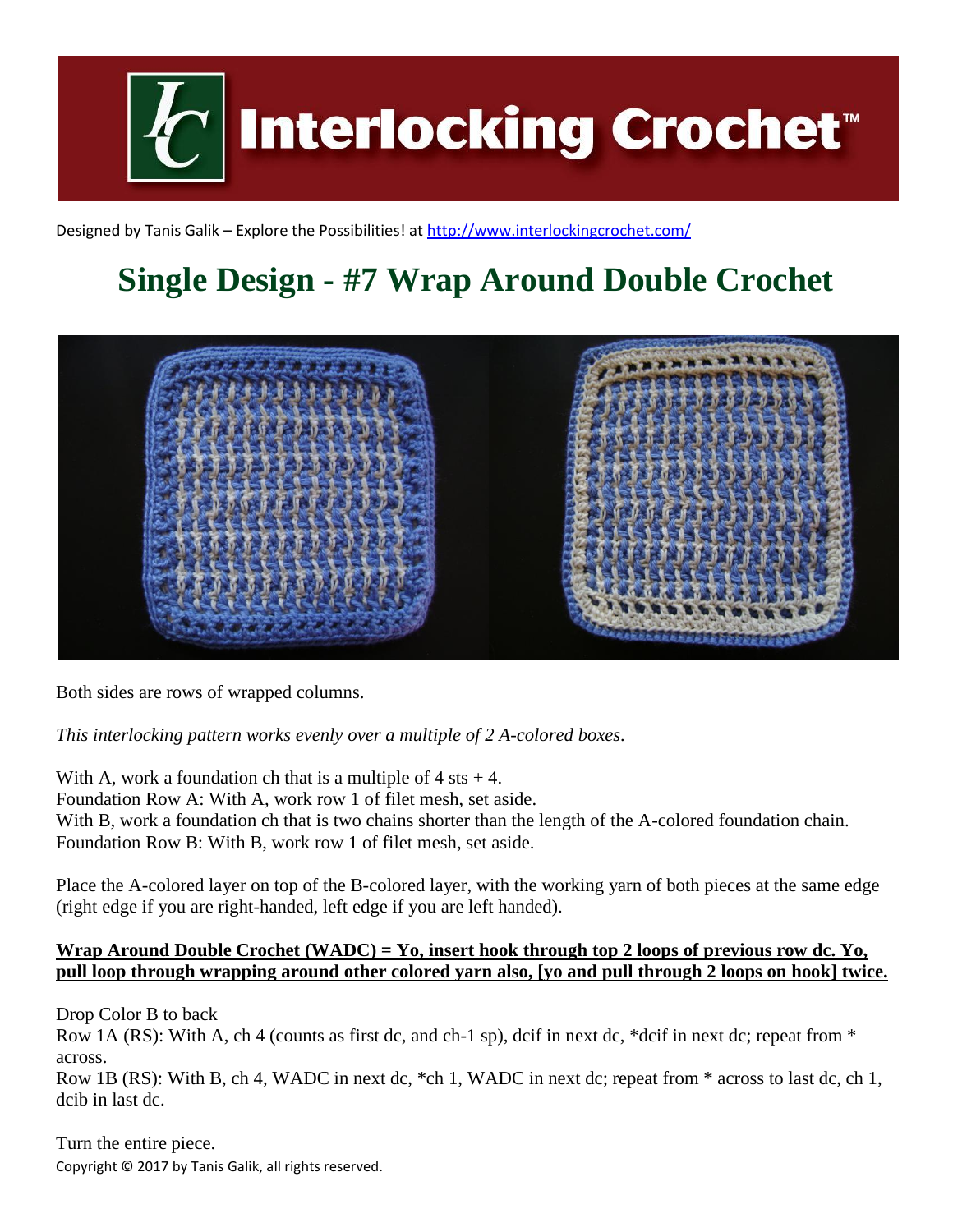

Designed by Tanis Galik – Explore the Possibilities! a[t http://www.interlockingcrochet.com/](http://www.interlockingcrochet.com/)

## **Single Design - #7 Wrap Around Double Crochet**



Both sides are rows of wrapped columns.

*This interlocking pattern works evenly over a multiple of 2 A-colored boxes.*

With A, work a foundation ch that is a multiple of  $4$  sts  $+ 4$ . Foundation Row A: With A, work row 1 of filet mesh, set aside. With B, work a foundation ch that is two chains shorter than the length of the A-colored foundation chain. Foundation Row B: With B, work row 1 of filet mesh, set aside.

Place the A-colored layer on top of the B-colored layer, with the working yarn of both pieces at the same edge (right edge if you are right-handed, left edge if you are left handed).

## **Wrap Around Double Crochet (WADC) = Yo, insert hook through top 2 loops of previous row dc. Yo, pull loop through wrapping around other colored yarn also, [yo and pull through 2 loops on hook] twice.**

Drop Color B to back

Row 1A (RS): With A, ch 4 (counts as first dc, and ch-1 sp), dcif in next dc, \*dcif in next dc; repeat from \* across.

Row 1B (RS): With B, ch 4, WADC in next dc, \*ch 1, WADC in next dc; repeat from \* across to last dc, ch 1, dcib in last dc.

Copyright © 2017 by Tanis Galik, all rights reserved. Turn the entire piece.